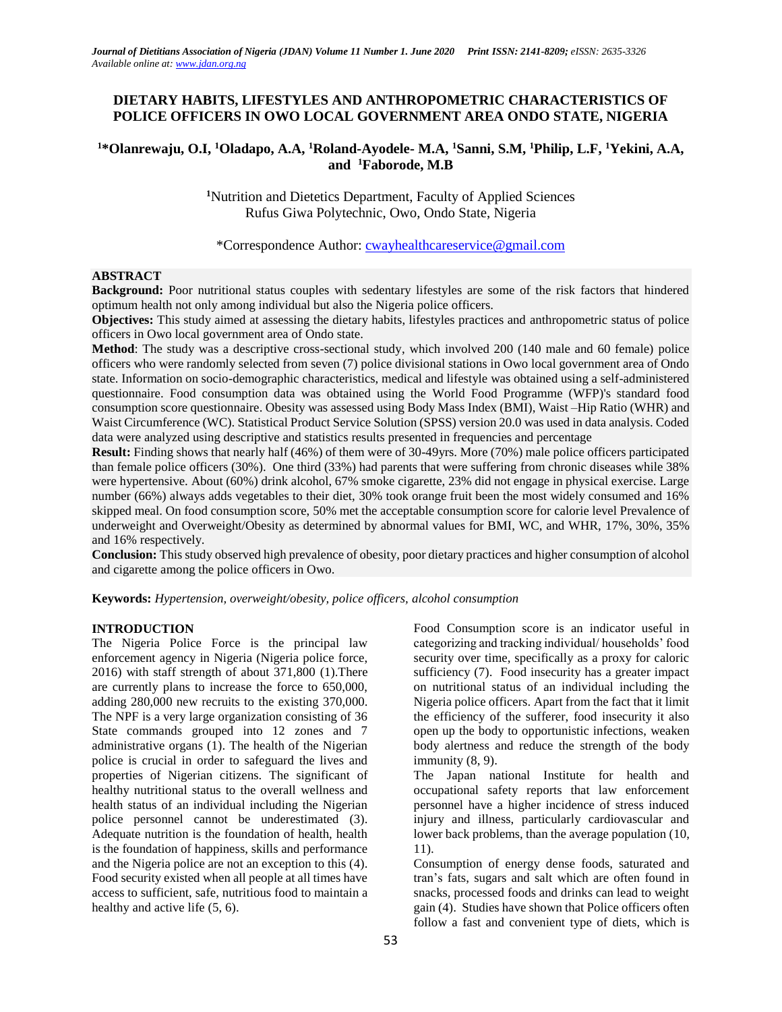# **DIETARY HABITS, LIFESTYLES AND ANTHROPOMETRIC CHARACTERISTICS OF POLICE OFFICERS IN OWO LOCAL GOVERNMENT AREA ONDO STATE, NIGERIA**

# **<sup>1</sup>\*Olanrewaju, O.I, <sup>1</sup>Oladapo, A.A, <sup>1</sup>Roland-Ayodele- M.A, <sup>1</sup>Sanni, S.M, <sup>1</sup>Philip, L.F, <sup>1</sup>Yekini, A.A, and <sup>1</sup>Faborode, M.B**

**<sup>1</sup>**Nutrition and Dietetics Department, Faculty of Applied Sciences Rufus Giwa Polytechnic, Owo, Ondo State, Nigeria

\*Correspondence Author: [cwayhealthcareservice@gmail.com](mailto:cwayhealthcareservice@gmail.com)

### **ABSTRACT**

**Background:** Poor nutritional status couples with sedentary lifestyles are some of the risk factors that hindered optimum health not only among individual but also the Nigeria police officers.

**Objectives:** This study aimed at assessing the dietary habits, lifestyles practices and anthropometric status of police officers in Owo local government area of Ondo state.

**Method**: The study was a descriptive cross-sectional study, which involved 200 (140 male and 60 female) police officers who were randomly selected from seven (7) police divisional stations in Owo local government area of Ondo state. Information on socio-demographic characteristics, medical and lifestyle was obtained using a self-administered questionnaire. Food consumption data was obtained using the [World Food Programme \(WFP\)'s standard food](http://documents.wfp.org/stellent/groups/public/documents/manual_guide_proced/wfp197216.pdf)  [consumption score questionnaire.](http://documents.wfp.org/stellent/groups/public/documents/manual_guide_proced/wfp197216.pdf) Obesity was assessed using Body Mass Index (BMI), Waist –Hip Ratio (WHR) and Waist Circumference (WC). Statistical Product Service Solution (SPSS) version 20.0 was used in data analysis. Coded data were analyzed using descriptive and statistics results presented in frequencies and percentage

**Result:** Finding shows that nearly half (46%) of them were of 30-49yrs. More (70%) male police officers participated than female police officers (30%). One third (33%) had parents that were suffering from chronic diseases while 38% were hypertensive. About (60%) drink alcohol, 67% smoke cigarette, 23% did not engage in physical exercise. Large number (66%) always adds vegetables to their diet, 30% took orange fruit been the most widely consumed and 16% skipped meal. On food consumption score, 50% met the acceptable consumption score for calorie level Prevalence of underweight and Overweight/Obesity as determined by abnormal values for BMI, WC, and WHR, 17%, 30%, 35% and 16% respectively.

**Conclusion:** This study observed high prevalence of obesity, poor dietary practices and higher consumption of alcohol and cigarette among the police officers in Owo.

**Keywords:** *Hypertension, overweight/obesity, police officers, alcohol consumption*

### **INTRODUCTION**

The Nigeria Police Force is the principal law enforcement agency in Nigeria (Nigeria police force, 2016) with staff strength of about 371,800 (1).There are currently plans to increase the force to 650,000, adding 280,000 new recruits to the existing 370,000. The NPF is a very large organization consisting of 36 State commands grouped into 12 zones and 7 administrative organs (1). The health of the Nigerian police is crucial in order to safeguard the lives and properties of Nigerian citizens. The significant of healthy nutritional status to the overall wellness and health status of an individual including the Nigerian police personnel cannot be underestimated (3). Adequate nutrition is the foundation of health, health is the foundation of happiness, skills and performance and the Nigeria police are not an exception to this (4). Food security existed when all people at all times have access to sufficient, safe, nutritious food to maintain a healthy and active life (5, 6).

Food Consumption score is an indicator useful in categorizing and tracking individual/ households' food security over time, specifically as a proxy for caloric sufficiency (7). Food insecurity has a greater impact on nutritional status of an individual including the Nigeria police officers. Apart from the fact that it limit the efficiency of the sufferer, food insecurity it also open up the body to opportunistic infections, weaken body alertness and reduce the strength of the body immunity  $(8, 9)$ .

The Japan national Institute for health and occupational safety reports that law enforcement personnel have a higher incidence of stress induced injury and illness, particularly cardiovascular and lower back problems, than the average population (10, 11).

Consumption of energy dense foods, saturated and tran's fats, sugars and salt which are often found in snacks, processed foods and drinks can lead to weight gain (4). Studies have shown that Police officers often follow a fast and convenient type of diets, which is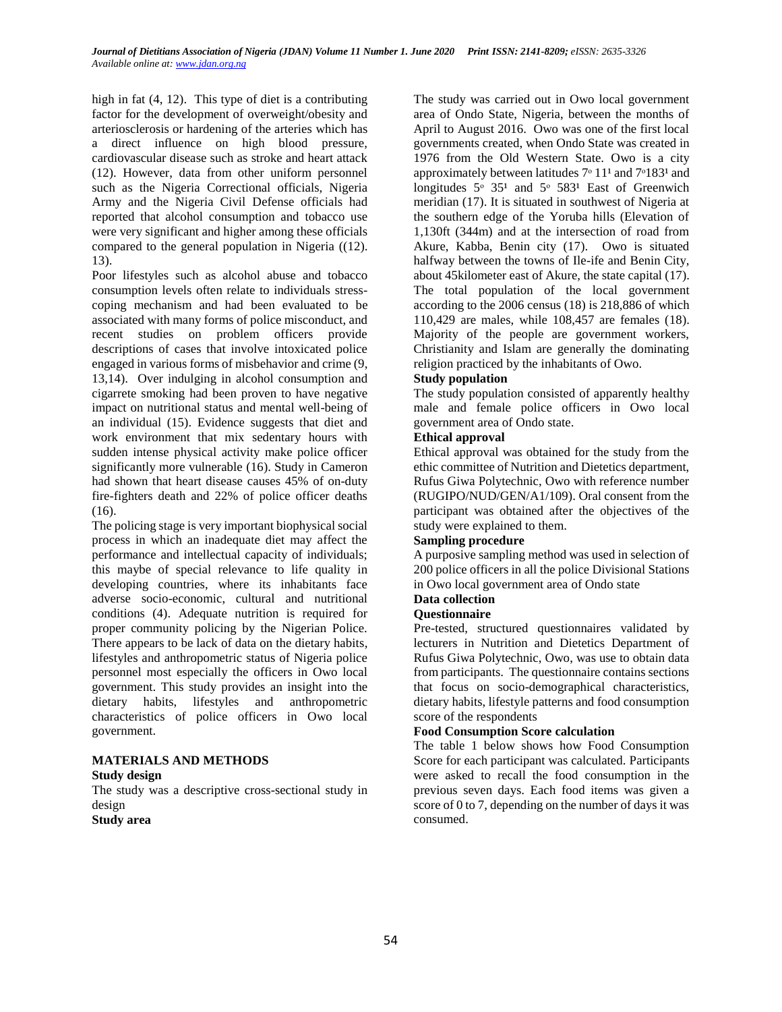high in fat (4, 12). This type of diet is a contributing factor for the development of overweight/obesity and arteriosclerosis or hardening of the arteries which has a direct influence on high blood pressure, cardiovascular disease such as stroke and heart attack (12). However, data from other uniform personnel such as the Nigeria Correctional officials, Nigeria Army and the Nigeria Civil Defense officials had reported that alcohol consumption and tobacco use were very significant and higher among these officials compared to the general population in Nigeria ((12). 13).

Poor lifestyles such as alcohol abuse and tobacco consumption levels often relate to individuals stresscoping mechanism and had been evaluated to be associated with many forms of police misconduct, and recent studies on problem officers provide descriptions of cases that involve intoxicated police engaged in various forms of misbehavior and crime (9, 13,14). Over indulging in alcohol consumption and cigarrete smoking had been proven to have negative impact on nutritional status and mental well-being of an individual (15). Evidence suggests that diet and work environment that mix sedentary hours with sudden intense physical activity make police officer significantly more vulnerable (16). Study in Cameron had shown that heart disease causes 45% of on-duty fire-fighters death and 22% of police officer deaths (16).

The policing stage is very important biophysical social process in which an inadequate diet may affect the performance and intellectual capacity of individuals; this maybe of special relevance to life quality in developing countries, where its inhabitants face adverse socio-economic, cultural and nutritional conditions (4). Adequate nutrition is required for proper community policing by the Nigerian Police. There appears to be lack of data on the dietary habits, lifestyles and anthropometric status of Nigeria police personnel most especially the officers in Owo local government. This study provides an insight into the dietary habits, lifestyles and anthropometric characteristics of police officers in Owo local government.

# **MATERIALS AND METHODS**

### **Study design**

The study was a descriptive cross-sectional study in design

## **Study area**

The study was carried out in Owo local government area of Ondo State, Nigeria, between the months of April to August 2016. Owo was one of the first local governments created, when Ondo State was created in 1976 from the Old Western State. Owo is a city approximately between latitudes  $7°11<sup>1</sup>$  and  $7°183<sup>1</sup>$  and longitudes  $5^{\circ}$  35<sup>1</sup> and  $5^{\circ}$  583<sup>1</sup> East of Greenwich meridian (17). It is situated in southwest of Nigeria at the southern edge of the Yoruba hills (Elevation of 1,130ft (344m) and at the intersection of road from Akure, Kabba, Benin city (17). Owo is situated halfway between the towns of Ile-ife and Benin City, about 45kilometer east of Akure, the state capital (17). The total population of the local government according to the 2006 census (18) is 218,886 of which 110,429 are males, while 108,457 are females (18). Majority of the people are government workers, Christianity and Islam are generally the dominating religion practiced by the inhabitants of Owo.

# **Study population**

The study population consisted of apparently healthy male and female police officers in Owo local government area of Ondo state.

### **Ethical approval**

Ethical approval was obtained for the study from the ethic committee of Nutrition and Dietetics department, Rufus Giwa Polytechnic, Owo with reference number (RUGIPO/NUD/GEN/A1/109). Oral consent from the participant was obtained after the objectives of the study were explained to them.

## **Sampling procedure**

A purposive sampling method was used in selection of 200 police officers in all the police Divisional Stations in Owo local government area of Ondo state

# **Data collection**

### **Questionnaire**

Pre-tested, structured questionnaires validated by lecturers in Nutrition and Dietetics Department of Rufus Giwa Polytechnic, Owo, was use to obtain data from participants. The questionnaire contains sections that focus on socio-demographical characteristics, dietary habits, lifestyle patterns and food consumption score of the respondents

### **Food Consumption Score calculation**

The table 1 below shows how Food Consumption Score for each participant was calculated. Participants were asked to recall the food consumption in the previous seven days. Each food items was given a score of 0 to 7, depending on the number of days it was consumed.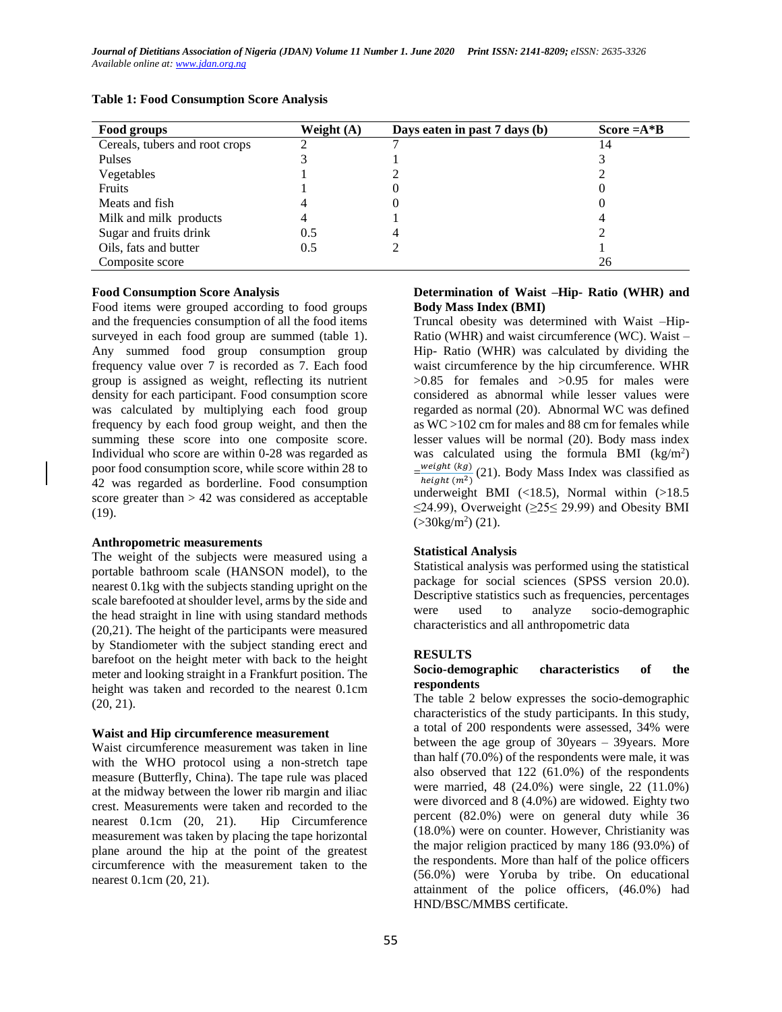| Food groups                    | Weight $(A)$ | Days eaten in past 7 days (b) | Score $=A*B$ |
|--------------------------------|--------------|-------------------------------|--------------|
| Cereals, tubers and root crops |              |                               | 14           |
| Pulses                         |              |                               |              |
| Vegetables                     |              |                               |              |
| Fruits                         |              |                               |              |
| Meats and fish                 |              |                               |              |
| Milk and milk products         |              |                               |              |
| Sugar and fruits drink         | 0.5          |                               |              |
| Oils, fats and butter          | 0.5          |                               |              |
| Composite score                |              |                               | 26           |

#### **Table 1: Food Consumption Score Analysis**

#### **Food Consumption Score Analysis**

Food items were grouped according to food groups and the frequencies consumption of all the food items surveyed in each food group are summed (table 1). Any summed food group consumption group frequency value over 7 is recorded as 7. Each food group is assigned as weight, reflecting its nutrient density for each participant. Food consumption score was calculated by multiplying each food group frequency by each food group weight, and then the summing these score into one composite score. Individual who score are within 0-28 was regarded as poor food consumption score, while score within 28 to 42 was regarded as borderline. Food consumption score greater than  $> 42$  was considered as acceptable (19).

#### **Anthropometric measurements**

The weight of the subjects were measured using a portable bathroom scale (HANSON model), to the nearest 0.1kg with the subjects standing upright on the scale barefooted at shoulder level, arms by the side and the head straight in line with using standard methods (20,21). The height of the participants were measured by Standiometer with the subject standing erect and barefoot on the height meter with back to the height meter and looking straight in a Frankfurt position. The height was taken and recorded to the nearest 0.1cm (20, 21).

#### **Waist and Hip circumference measurement**

Waist circumference measurement was taken in line with the WHO protocol using a non-stretch tape measure (Butterfly, China). The tape rule was placed at the midway between the lower rib margin and iliac crest. Measurements were taken and recorded to the nearest 0.1cm (20, 21). Hip Circumference measurement was taken by placing the tape horizontal plane around the hip at the point of the greatest circumference with the measurement taken to the nearest 0.1cm (20, 21).

#### **Determination of Waist –Hip- Ratio (WHR) and Body Mass Index (BMI)**

Truncal obesity was determined with Waist –Hip-Ratio (WHR) and waist circumference (WC). Waist – Hip- Ratio (WHR) was calculated by dividing the waist circumference by the hip circumference. WHR  $>0.85$  for females and  $>0.95$  for males were considered as abnormal while lesser values were regarded as normal (20). Abnormal WC was defined as WC >102 cm for males and 88 cm for females while lesser values will be normal (20). Body mass index was calculated using the formula BMI  $(kg/m^2)$  $=\frac{weight(kg)}{height(m^2)}$  $\frac{\text{weight}(ky)}{\text{height}(m^2)}$  (21). Body Mass Index was classified as underweight BMI (<18.5), Normal within (>18.5)  $\leq$ 24.99), Overweight ( $\geq$ 25 $\leq$  29.99) and Obesity BMI  $( >30 \text{kg/m}^2) (21)$ .

#### **Statistical Analysis**

Statistical analysis was performed using the statistical package for social sciences (SPSS version 20.0). Descriptive statistics such as frequencies, percentages were used to analyze socio-demographic characteristics and all anthropometric data

#### **RESULTS**

#### **Socio-demographic characteristics of the respondents**

The table 2 below expresses the socio-demographic characteristics of the study participants. In this study, a total of 200 respondents were assessed, 34% were between the age group of 30years – 39years. More than half (70.0%) of the respondents were male, it was also observed that 122 (61.0%) of the respondents were married, 48 (24.0%) were single, 22 (11.0%) were divorced and 8 (4.0%) are widowed. Eighty two percent (82.0%) were on general duty while 36 (18.0%) were on counter. However, Christianity was the major religion practiced by many 186 (93.0%) of the respondents. More than half of the police officers (56.0%) were Yoruba by tribe. On educational attainment of the police officers, (46.0%) had HND/BSC/MMBS certificate.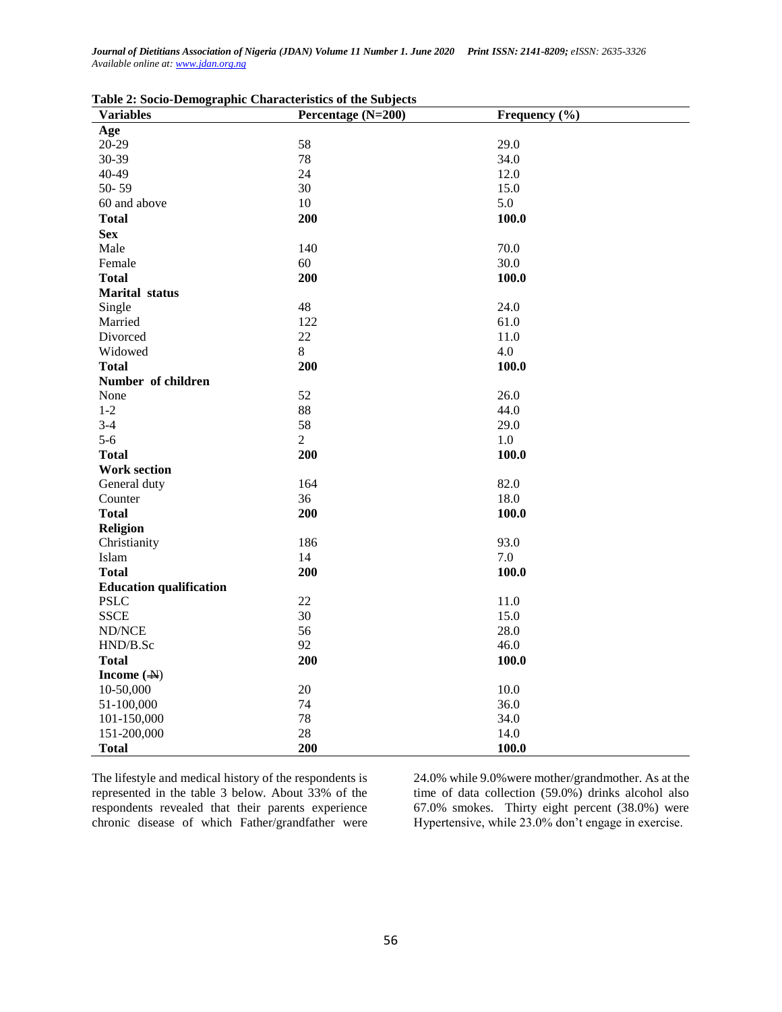| <b>Variables</b>               | Percentage (N=200) | Frequency (%) |
|--------------------------------|--------------------|---------------|
| Age                            |                    |               |
| $20 - 29$                      | 58                 | 29.0          |
| 30-39                          | 78                 | 34.0          |
| 40-49                          | 24                 | 12.0          |
| $50 - 59$                      | 30                 | 15.0          |
| 60 and above                   | 10                 | 5.0           |
| <b>Total</b>                   | 200                | 100.0         |
| <b>Sex</b>                     |                    |               |
| Male                           | 140                | 70.0          |
| Female                         | 60                 | 30.0          |
| <b>Total</b>                   | 200                | 100.0         |
| <b>Marital</b> status          |                    |               |
| Single                         | 48                 | 24.0          |
| Married                        | 122                | 61.0          |
| Divorced                       | 22                 | 11.0          |
| Widowed                        | $8\,$              | 4.0           |
| <b>Total</b>                   | 200                | 100.0         |
| Number of children             |                    |               |
| None                           | 52                 | 26.0          |
| $1-2$                          | 88                 | 44.0          |
| $3-4$                          | 58                 | 29.0          |
| $5-6$                          | $\overline{2}$     | 1.0           |
| <b>Total</b>                   | 200                | 100.0         |
| <b>Work section</b>            |                    |               |
| General duty                   | 164                | 82.0          |
| Counter                        | 36                 | 18.0          |
| <b>Total</b>                   | 200                | 100.0         |
| <b>Religion</b>                |                    |               |
| Christianity                   | 186                | 93.0          |
| Islam                          | 14                 | 7.0           |
| <b>Total</b>                   | 200                | 100.0         |
| <b>Education qualification</b> |                    |               |
| <b>PSLC</b>                    | 22                 | 11.0          |
| <b>SSCE</b>                    | 30                 | 15.0          |
| ND/NCE                         | 56                 | 28.0          |
| HND/B.Sc                       | 92                 | 46.0          |
| <b>Total</b>                   | 200                | 100.0         |
| Income $(\rightarrow)$         |                    |               |
| 10-50,000                      | 20                 | 10.0          |
| 51-100,000                     | 74                 | 36.0          |
| 101-150,000                    | 78                 | 34.0          |
| 151-200,000                    | 28                 | 14.0          |
| <b>Total</b>                   | 200                | 100.0         |

|  |  |  | Table 2: Socio-Demographic Characteristics of the Subjects |  |  |
|--|--|--|------------------------------------------------------------|--|--|
|  |  |  |                                                            |  |  |

The lifestyle and medical history of the respondents is represented in the table 3 below. About 33% of the respondents revealed that their parents experience chronic disease of which Father/grandfather were

24.0% while 9.0%were mother/grandmother. As at the time of data collection (59.0%) drinks alcohol also 67.0% smokes. Thirty eight percent (38.0%) were Hypertensive, while 23.0% don't engage in exercise.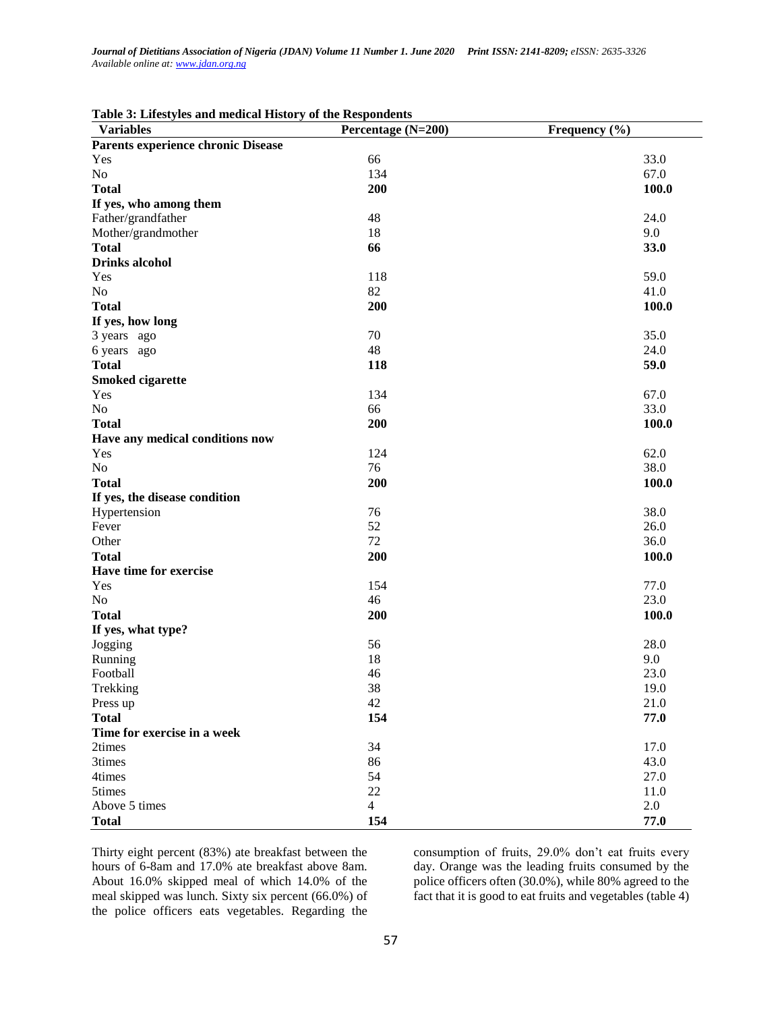| $\ldots$<br><b>Variables</b>       | Percentage (N=200) | Frequency (%) |
|------------------------------------|--------------------|---------------|
| Parents experience chronic Disease |                    |               |
| Yes                                | 66                 | 33.0          |
| No                                 | 134                | 67.0          |
| <b>Total</b>                       | 200                | 100.0         |
| If yes, who among them             |                    |               |
| Father/grandfather                 | 48                 | 24.0          |
| Mother/grandmother                 | 18                 | 9.0           |
| <b>Total</b>                       | 66                 | 33.0          |
| <b>Drinks</b> alcohol              |                    |               |
| Yes                                | 118                | 59.0          |
| No                                 | 82                 | 41.0          |
| <b>Total</b>                       | 200                | 100.0         |
| If yes, how long                   |                    |               |
| 3 years ago                        | 70                 | 35.0          |
| 6 years ago                        | 48                 | 24.0          |
| <b>Total</b>                       | 118                | 59.0          |
| <b>Smoked cigarette</b>            |                    |               |
| Yes                                | 134                | 67.0          |
| No                                 | 66                 | 33.0          |
| <b>Total</b>                       | 200                | 100.0         |
| Have any medical conditions now    |                    |               |
| Yes                                | 124                | 62.0          |
| No                                 | 76                 | 38.0          |
| <b>Total</b>                       | 200                | 100.0         |
| If yes, the disease condition      |                    |               |
| Hypertension                       | 76                 | 38.0          |
| Fever                              | 52                 | 26.0          |
| Other                              | 72                 | 36.0          |
| <b>Total</b>                       | 200                | 100.0         |
| Have time for exercise             |                    |               |
| Yes                                | 154                | 77.0          |
| No                                 | 46                 | 23.0          |
| <b>Total</b>                       | 200                | 100.0         |
| If yes, what type?                 |                    |               |
| Jogging                            | 56                 | 28.0          |
| Running                            | 18                 | 9.0           |
| Football                           | 46                 | 23.0          |
| Trekking                           | 38                 | 19.0          |
| Press up                           | 42                 | 21.0          |
| <b>Total</b>                       | 154                | 77.0          |
| Time for exercise in a week        |                    |               |
| 2times                             | 34                 | 17.0          |
| 3times                             | 86                 | 43.0          |
| 4times                             | 54                 | 27.0          |
| 5times                             | 22                 | 11.0          |
| Above 5 times                      | $\overline{4}$     | 2.0           |
|                                    |                    |               |
| <b>Total</b>                       | 154                | 77.0          |

Thirty eight percent (83%) ate breakfast between the hours of 6-8am and 17.0% ate breakfast above 8am. About 16.0% skipped meal of which 14.0% of the meal skipped was lunch. Sixty six percent (66.0%) of the police officers eats vegetables. Regarding the consumption of fruits, 29.0% don't eat fruits every day. Orange was the leading fruits consumed by the police officers often (30.0%), while 80% agreed to the fact that it is good to eat fruits and vegetables (table 4)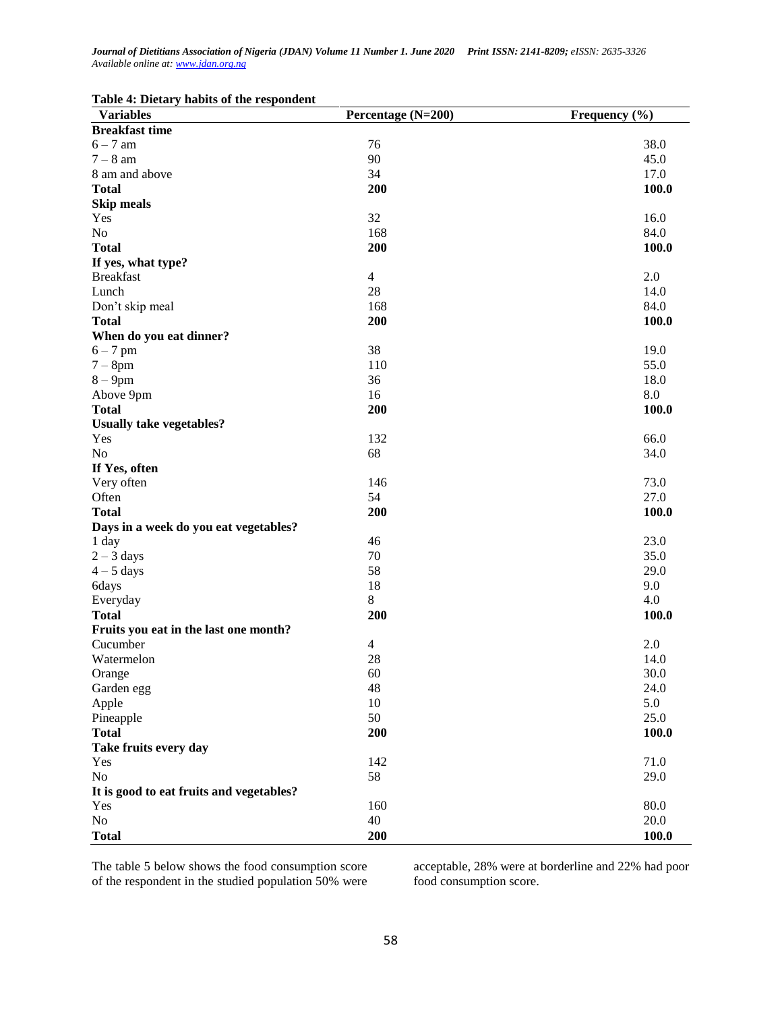| Table 4: Dietary habits of the respondent |  |  |  |  |  |
|-------------------------------------------|--|--|--|--|--|
|-------------------------------------------|--|--|--|--|--|

| <b>Variables</b>                         | Percentage (N=200) | Frequency $(\% )$ |
|------------------------------------------|--------------------|-------------------|
| <b>Breakfast time</b>                    |                    |                   |
| $6 - 7$ am                               | 76                 | 38.0              |
| $7 - 8$ am                               | 90                 | 45.0              |
| 8 am and above                           | 34                 | 17.0              |
| <b>Total</b>                             | 200                | 100.0             |
| <b>Skip meals</b>                        |                    |                   |
| Yes                                      | 32                 | 16.0              |
| N <sub>o</sub>                           | 168                | 84.0              |
| <b>Total</b>                             | 200                | 100.0             |
| If yes, what type?                       |                    |                   |
| <b>Breakfast</b>                         | $\overline{4}$     | 2.0               |
| Lunch                                    | 28                 | 14.0              |
| Don't skip meal                          | 168                | 84.0              |
| <b>Total</b>                             | 200                | 100.0             |
| When do you eat dinner?                  |                    |                   |
| $6 - 7$ pm                               | 38                 | 19.0              |
| $7 - 8$ pm                               | 110                | 55.0              |
| $8-9$ pm                                 | 36                 | 18.0              |
| Above 9pm                                | 16                 | 8.0               |
| <b>Total</b>                             | 200                | 100.0             |
| <b>Usually take vegetables?</b>          |                    |                   |
| Yes                                      | 132                | 66.0              |
| N <sub>o</sub>                           | 68                 | 34.0              |
| If Yes, often                            |                    |                   |
| Very often                               | 146                | 73.0              |
| Often                                    | 54                 | 27.0              |
| <b>Total</b>                             | 200                | 100.0             |
| Days in a week do you eat vegetables?    |                    |                   |
| 1 day                                    | 46                 | 23.0              |
| $2 - 3$ days                             | 70                 | 35.0              |
| $4-5$ days                               | 58                 | 29.0              |
| 6days                                    | 18                 | 9.0               |
| Everyday                                 | 8                  | 4.0               |
| <b>Total</b>                             | 200                | 100.0             |
| Fruits you eat in the last one month?    |                    |                   |
| Cucumber                                 | $\overline{4}$     | 2.0               |
| Watermelon                               | 28                 | 14.0              |
| Orange                                   | 60                 | 30.0              |
| Garden egg                               | 48                 | 24.0              |
| Apple                                    | 10                 | 5.0               |
| Pineapple                                | 50                 | 25.0              |
| <b>Total</b>                             | 200                | 100.0             |
| Take fruits every day                    |                    |                   |
| Yes                                      | 142                | 71.0              |
| No                                       | 58                 | 29.0              |
| It is good to eat fruits and vegetables? |                    |                   |
| Yes                                      | 160                | 80.0              |
| No                                       | 40                 | 20.0              |
| <b>Total</b>                             | 200                | 100.0             |

The table 5 below shows the food consumption score of the respondent in the studied population 50% were

acceptable, 28% were at borderline and 22% had poor food consumption score.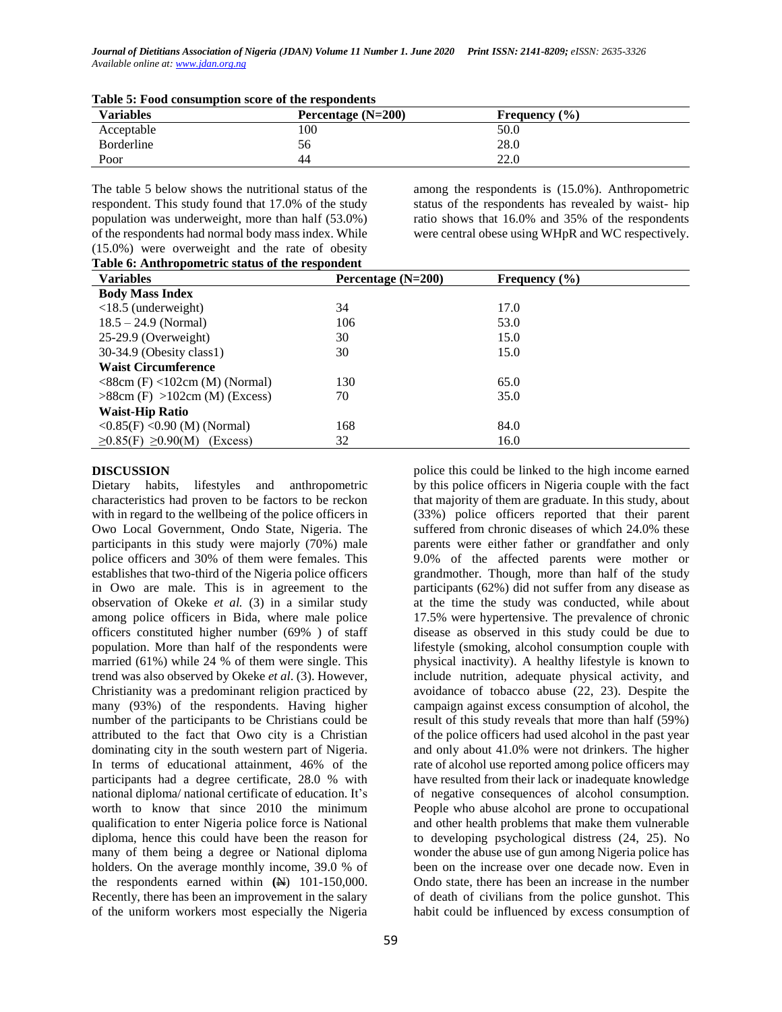| <b>Variables</b> | Percentage $(N=200)$ | Frequency $(\% )$ |  |
|------------------|----------------------|-------------------|--|
| Acceptable       | 100                  | 50.0              |  |
| Borderline       | 56                   | 28.0              |  |
| Poor             | 44                   | 22.0              |  |

| Table 5: Food consumption score of the respondents |  |  |  |
|----------------------------------------------------|--|--|--|
|----------------------------------------------------|--|--|--|

The table 5 below shows the nutritional status of the respondent. This study found that 17.0% of the study population was underweight, more than half (53.0%) of the respondents had normal body mass index. While (15.0%) were overweight and the rate of obesity

among the respondents is (15.0%). Anthropometric status of the respondents has revealed by waist- hip ratio shows that 16.0% and 35% of the respondents were central obese using WHpR and WC respectively.

| Table 6: Anthropometric status of the respondent |  |
|--------------------------------------------------|--|
|                                                  |  |

| <b>Variables</b>                                   | Percentage $(N=200)$ | Frequency $(\% )$ |
|----------------------------------------------------|----------------------|-------------------|
| <b>Body Mass Index</b>                             |                      |                   |
| $<$ 18.5 (underweight)                             | 34                   | 17.0              |
| $18.5 - 24.9$ (Normal)                             | 106                  | 53.0              |
| 25-29.9 (Overweight)                               | 30                   | 15.0              |
| 30-34.9 (Obesity class1)                           | 30                   | 15.0              |
| <b>Waist Circumference</b>                         |                      |                   |
| $\langle$ 88cm (F) $\langle$ 102cm (M) (Normal)    | 130                  | 65.0              |
| $>88$ cm (F) $>102$ cm (M) (Excess)                | 70                   | 35.0              |
| <b>Waist-Hip Ratio</b>                             |                      |                   |
| $\langle 0.85(F) \langle 0.90(M) \rangle$ (Normal) | 168                  | 84.0              |
| $\geq 0.85(F) \geq 0.90(M)$<br>(Excess)            | 32                   | 16.0              |
|                                                    |                      |                   |

## **DISCUSSION**

Dietary habits, lifestyles and anthropometric characteristics had proven to be factors to be reckon with in regard to the wellbeing of the police officers in Owo Local Government, Ondo State, Nigeria. The participants in this study were majorly (70%) male police officers and 30% of them were females. This establishes that two-third of the Nigeria police officers in Owo are male. This is in agreement to the observation of Okeke *et al.* (3) in a similar study among police officers in Bida, where male police officers constituted higher number (69% ) of staff population. More than half of the respondents were married (61%) while 24 % of them were single. This trend was also observed by Okeke *et al*. (3). However, Christianity was a predominant religion practiced by many (93%) of the respondents. Having higher number of the participants to be Christians could be attributed to the fact that Owo city is a Christian dominating city in the south western part of Nigeria. In terms of educational attainment, 46% of the participants had a degree certificate, 28.0 % with national diploma/ national certificate of education. It's worth to know that since 2010 the minimum qualification to enter Nigeria police force is National diploma, hence this could have been the reason for many of them being a degree or National diploma holders. On the average monthly income, 39.0 % of the respondents earned within  $(\mathbf{H})$  101-150,000. Recently, there has been an improvement in the salary of the uniform workers most especially the Nigeria

by this police officers in Nigeria couple with the fact that majority of them are graduate. In this study, about (33%) police officers reported that their parent suffered from chronic diseases of which 24.0% these parents were either father or grandfather and only 9.0% of the affected parents were mother or grandmother. Though, more than half of the study participants (62%) did not suffer from any disease as at the time the study was conducted, while about 17.5% were hypertensive. The prevalence of chronic disease as observed in this study could be due to lifestyle (smoking, alcohol consumption couple with physical inactivity). A healthy lifestyle is known to include nutrition, adequate physical activity, and avoidance of tobacco abuse (22, 23). Despite the campaign against excess consumption of alcohol, the result of this study reveals that more than half (59%) of the police officers had used alcohol in the past year and only about 41.0% were not drinkers. The higher rate of alcohol use reported among police officers may have resulted from their lack or inadequate knowledge of negative consequences of alcohol consumption. People who abuse alcohol are prone to occupational and other health problems that make them vulnerable to developing psychological distress (24, 25). No wonder the abuse use of gun among Nigeria police has been on the increase over one decade now. Even in Ondo state, there has been an increase in the number of death of civilians from the police gunshot. This habit could be influenced by excess consumption of

police this could be linked to the high income earned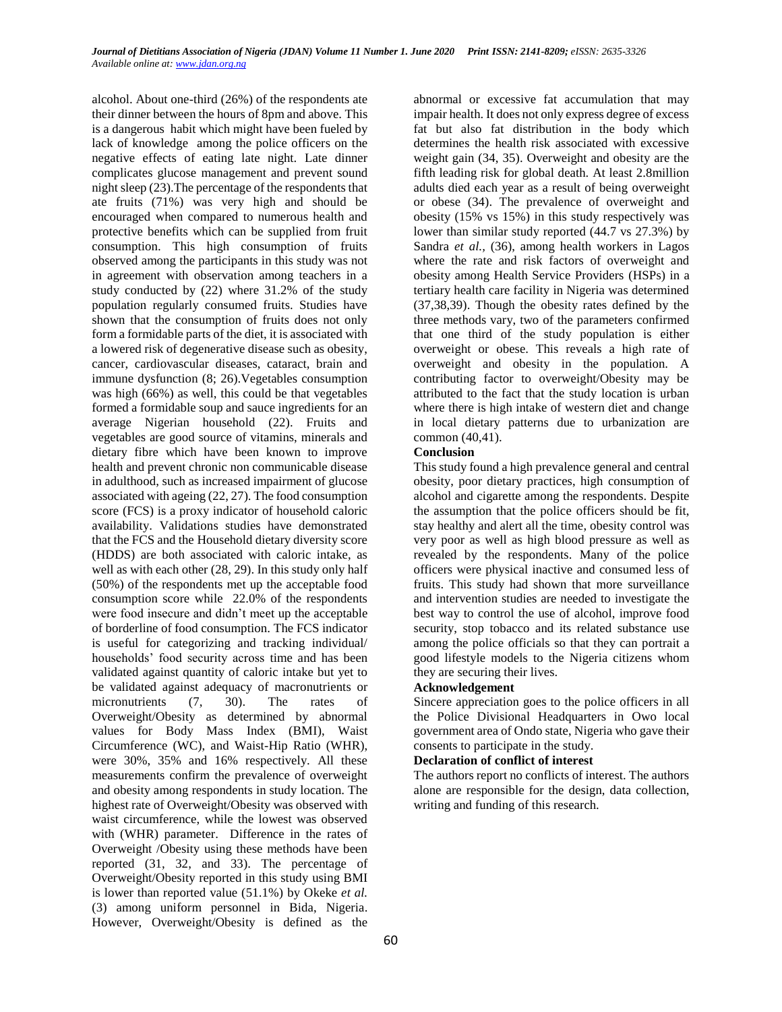alcohol. About one-third (26%) of the respondents ate their dinner between the hours of 8pm and above. This is a dangerous habit which might have been fueled by lack of knowledge among the police officers on the negative effects of eating late night. Late dinner complicates glucose management and prevent sound night sleep (23).The percentage of the respondents that ate fruits (71%) was very high and should be encouraged when compared to numerous health and protective benefits which can be supplied from fruit consumption. This high consumption of fruits observed among the participants in this study was not in agreement with observation among teachers in a study conducted by (22) where 31.2% of the study population regularly consumed fruits. Studies have shown that the consumption of fruits does not only form a formidable parts of the diet, it is associated with a lowered risk of degenerative disease such as obesity, cancer, cardiovascular diseases, cataract, brain and immune dysfunction (8; 26).Vegetables consumption was high (66%) as well, this could be that vegetables formed a formidable soup and sauce ingredients for an average Nigerian household (22). Fruits and vegetables are good source of vitamins, minerals and dietary fibre which have been known to improve health and prevent chronic non communicable disease in adulthood, such as increased impairment of glucose associated with ageing (22, 27). The food consumption score (FCS) is a proxy indicator of household caloric availability. Validations studies have demonstrated that the FCS and the Household dietary diversity score (HDDS) are both associated with caloric intake, as well as with each other (28, 29). In this study only half (50%) of the respondents met up the acceptable food consumption score while 22.0% of the respondents were food insecure and didn't meet up the acceptable of borderline of food consumption. The FCS indicator is useful for categorizing and tracking individual/ households' food security across time and has been validated against quantity of caloric intake but yet to be validated against adequacy of macronutrients or micronutrients (7, 30). The rates of Overweight/Obesity as determined by abnormal values for Body Mass Index (BMI), Waist Circumference (WC), and Waist-Hip Ratio (WHR), were 30%, 35% and 16% respectively. All these measurements confirm the prevalence of overweight and obesity among respondents in study location. The highest rate of Overweight/Obesity was observed with waist circumference, while the lowest was observed with (WHR) parameter. Difference in the rates of Overweight /Obesity using these methods have been reported (31, 32, and 33). The percentage of Overweight/Obesity reported in this study using BMI is lower than reported value (51.1%) by Okeke *et al.* (3) among uniform personnel in Bida, Nigeria. However, Overweight/Obesity is defined as the

abnormal or excessive fat accumulation that may impair health. It does not only express degree of excess fat but also fat distribution in the body which determines the health risk associated with excessive weight gain (34, 35). Overweight and obesity are the fifth leading risk for global death. At least 2.8million adults died each year as a result of being overweight or obese (34). The prevalence of overweight and obesity (15% vs 15%) in this study respectively was lower than similar study reported (44.7 vs 27.3%) by Sandra *et al.,* (36), among health workers in Lagos where the rate and risk factors of overweight and obesity among Health Service Providers (HSPs) in a tertiary health care facility in Nigeria was determined (37,38,39). Though the obesity rates defined by the three methods vary, two of the parameters confirmed that one third of the study population is either overweight or obese. This reveals a high rate of overweight and obesity in the population. A contributing factor to overweight/Obesity may be attributed to the fact that the study location is urban where there is high intake of western diet and change in local dietary patterns due to urbanization are common (40,41).

### **Conclusion**

This study found a high prevalence general and central obesity, poor dietary practices, high consumption of alcohol and cigarette among the respondents. Despite the assumption that the police officers should be fit, stay healthy and alert all the time, obesity control was very poor as well as high blood pressure as well as revealed by the respondents. Many of the police officers were physical inactive and consumed less of fruits. This study had shown that more surveillance and intervention studies are needed to investigate the best way to control the use of alcohol, improve food security, stop tobacco and its related substance use among the police officials so that they can portrait a good lifestyle models to the Nigeria citizens whom they are securing their lives.

### **Acknowledgement**

Sincere appreciation goes to the police officers in all the Police Divisional Headquarters in Owo local government area of Ondo state, Nigeria who gave their consents to participate in the study.

### **Declaration of conflict of interest**

The authors report no conflicts of interest. The authors alone are responsible for the design, data collection, writing and funding of this research.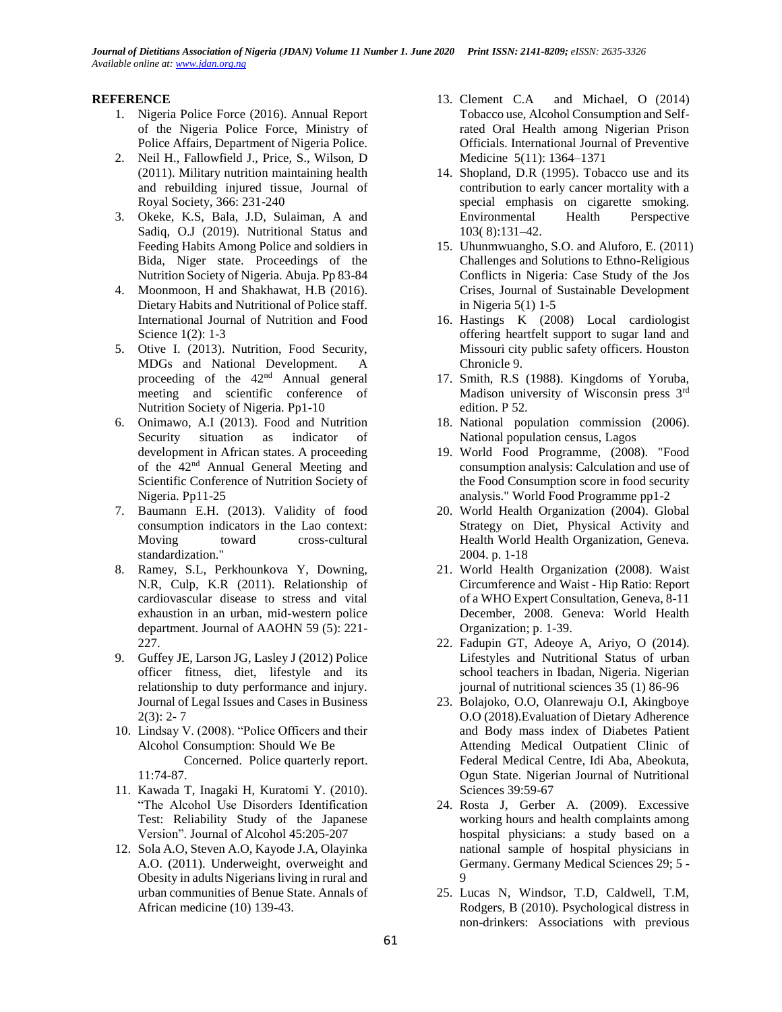### **REFERENCE**

- 1. Nigeria Police Force (2016). Annual Report of the Nigeria Police Force, Ministry of Police Affairs, Department of Nigeria Police.
- 2. Neil H., Fallowfield J., Price, S., Wilson, D (2011). Military nutrition maintaining health and rebuilding injured tissue, Journal of Royal Society, 366: 231-240
- 3. Okeke, K.S, Bala, J.D, Sulaiman, A and Sadiq, O.J (2019). Nutritional Status and Feeding Habits Among Police and soldiers in Bida, Niger state. Proceedings of the Nutrition Society of Nigeria. Abuja. Pp 83-84
- 4. Moonmoon, H and Shakhawat, H.B (2016). Dietary Habits and Nutritional of Police staff. International Journal of Nutrition and Food Science 1(2): 1-3
- 5. Otive I. (2013). Nutrition, Food Security, MDGs and National Development. A proceeding of the 42<sup>nd</sup> Annual general meeting and scientific conference of Nutrition Society of Nigeria. Pp1-10
- 6. Onimawo, A.I (2013). Food and Nutrition Security situation as indicator of development in African states. A proceeding of the 42nd Annual General Meeting and Scientific Conference of Nutrition Society of Nigeria. Pp11-25
- 7. Baumann E.H. [\(2013\). Validity of food](https://www.ncbi.nlm.nih.gov/pubmed/23767286)  [consumption indicators in the Lao context:](https://www.ncbi.nlm.nih.gov/pubmed/23767286)  [Moving toward cross-cultural](https://www.ncbi.nlm.nih.gov/pubmed/23767286)  [standardization."](https://www.ncbi.nlm.nih.gov/pubmed/23767286)
- 8. Ramey, S.L, Perkhounkova Y, Downing, N.R, Culp, K.R (2011). Relationship of cardiovascular disease to stress and vital exhaustion in an urban, mid-western police department. Journal of AAOHN 59 (5): 221- 227.
- 9. Guffey JE, Larson JG, Lasley J (2012) Police officer fitness, diet, lifestyle and its relationship to duty performance and injury. Journal of Legal Issues and Cases in Business  $2(3): 2-7$
- 10. Lindsay V. (2008). "Police Officers and their Alcohol Consumption: Should We Be Concerned. Police quarterly report. 11:74-87.
- 11. Kawada T, Inagaki H, Kuratomi Y. (2010). "The Alcohol Use Disorders Identification Test: Reliability Study of the Japanese Version". Journal of Alcohol 45:205-207
- 12. Sola A.O, Steven A.O, Kayode J.A, Olayinka A.O. (2011). Underweight, overweight and Obesity in adults Nigerians living in rural and urban communities of Benue State. Annals of African medicine (10) 139-43.
- 13. [Clement C.A](https://www.ncbi.nlm.nih.gov/pubmed/?term=Azodo%20CC%5BAuthor%5D&cauthor=true&cauthor_uid=25538831) and [Michael, O](https://www.ncbi.nlm.nih.gov/pubmed/?term=Omili%20M%5BAuthor%5D&cauthor=true&cauthor_uid=25538831) (2014) Tobacco use, Alcohol Consumption and Selfrated Oral Health among Nigerian Prison Officials. [International Journal of Preventive](file:///C:/Users/ACER/Downloads/police%2014.htm)  [Medicine 5](file:///C:/Users/ACER/Downloads/police%2014.htm)(11): 1364–1371
- 14. Shopland, D.R (1995). Tobacco use and its contribution to early cancer mortality with a special emphasis on cigarette smoking. Environmental Health Perspective 103( 8):131–42.
- 15. Uhunmwuangho, S.O. and Aluforo, E. (2011) Challenges and Solutions to Ethno-Religious Conflicts in Nigeria: Case Study of the Jos Crises, Journal of Sustainable Development in Nigeria 5(1) 1-5
- 16. Hastings K (2008) Local cardiologist offering heartfelt support to sugar land and Missouri city public safety officers. Houston Chronicle 9.
- 17. Smith, R.S (1988). Kingdoms of Yoruba, Madison university of Wisconsin press 3rd edition. P 52.
- 18. National population commission (2006). National population census, Lagos
- 19. [World Food Programme, \(2008\). "Food](https://www.wfp.org/content/technical-guidance-sheet-food-consumption-analysis-calculation-and-use-food-consumption-score-food-s)  [consumption analysis: Calculation and use of](https://www.wfp.org/content/technical-guidance-sheet-food-consumption-analysis-calculation-and-use-food-consumption-score-food-s)  [the Food Consumption score in food security](https://www.wfp.org/content/technical-guidance-sheet-food-consumption-analysis-calculation-and-use-food-consumption-score-food-s)  analysis." [World Food Programme pp1-2](https://www.wfp.org/content/technical-guidance-sheet-food-consumption-analysis-calculation-and-use-food-consumption-score-food-s)
- 20. World Health Organization (2004). Global Strategy on Diet, Physical Activity and Health World Health Organization, Geneva. 2004. p. 1-18
- 21. World Health Organization (2008). Waist Circumference and Waist - Hip Ratio: Report of a WHO Expert Consultation, Geneva, 8-11 December, 2008. Geneva: World Health Organization; p. 1-39.
- 22. Fadupin GT, Adeoye A, Ariyo, O (2014). Lifestyles and Nutritional Status of urban school teachers in Ibadan, Nigeria. Nigerian journal of nutritional sciences 35 (1) 86-96
- 23. Bolajoko, O.O, Olanrewaju O.I, Akingboye O.O (2018).Evaluation of Dietary Adherence and Body mass index of Diabetes Patient Attending Medical Outpatient Clinic of Federal Medical Centre, Idi Aba, Abeokuta, Ogun State. Nigerian Journal of Nutritional Sciences 39:59-67
- 24. Rosta J, Gerber A. (2009). Excessive working hours and health complaints among hospital physicians: a study based on a national sample of hospital physicians in Germany. Germany Medical Sciences 29; 5 - 9
- 25. Lucas N, Windsor, T.D, Caldwell, T.M, Rodgers, B (2010). Psychological distress in non-drinkers: Associations with previous